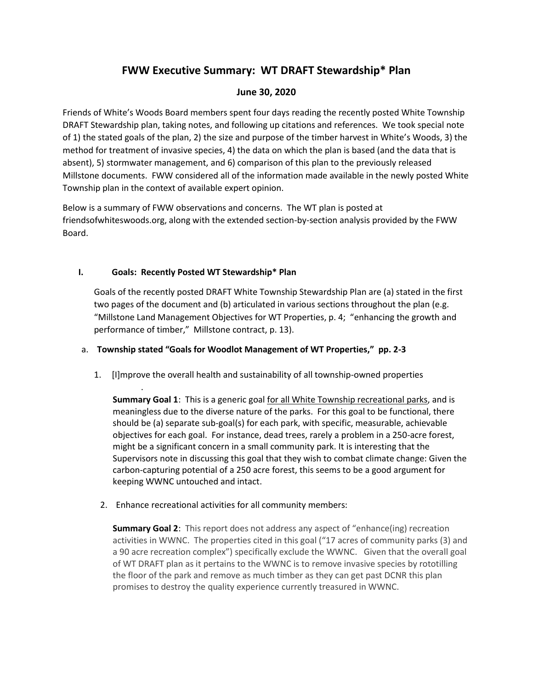# **FWW Executive Summary: WT DRAFT Stewardship\* Plan**

# **June 30, 2020**

Friends of White's Woods Board members spent four days reading the recently posted White Township DRAFT Stewardship plan, taking notes, and following up citations and references. We took special note of 1) the stated goals of the plan, 2) the size and purpose of the timber harvest in White's Woods, 3) the method for treatment of invasive species, 4) the data on which the plan is based (and the data that is absent), 5) stormwater management, and 6) comparison of this plan to the previously released Millstone documents. FWW considered all of the information made available in the newly posted White Township plan in the context of available expert opinion.

Below is a summary of FWW observations and concerns. The WT plan is posted at friendsofwhiteswoods.org, along with the extended section-by-section analysis provided by the FWW Board.

# **I. Goals: Recently Posted WT Stewardship\* Plan**

.

Goals of the recently posted DRAFT White Township Stewardship Plan are (a) stated in the first two pages of the document and (b) articulated in various sections throughout the plan (e.g. "Millstone Land Management Objectives for WT Properties, p. 4; "enhancing the growth and performance of timber," Millstone contract, p. 13).

# a. **Township stated "Goals for Woodlot Management of WT Properties," pp. 2-3**

1. [I]mprove the overall health and sustainability of all township-owned properties

**Summary Goal 1**: This is a generic goal for all White Township recreational parks, and is meaningless due to the diverse nature of the parks. For this goal to be functional, there should be (a) separate sub-goal(s) for each park, with specific, measurable, achievable objectives for each goal. For instance, dead trees, rarely a problem in a 250-acre forest, might be a significant concern in a small community park. It is interesting that the Supervisors note in discussing this goal that they wish to combat climate change: Given the carbon-capturing potential of a 250 acre forest, this seems to be a good argument for keeping WWNC untouched and intact.

2. Enhance recreational activities for all community members:

**Summary Goal 2**: This report does not address any aspect of "enhance(ing) recreation activities in WWNC. The properties cited in this goal ("17 acres of community parks (3) and a 90 acre recreation complex") specifically exclude the WWNC. Given that the overall goal of WT DRAFT plan as it pertains to the WWNC is to remove invasive species by rototilling the floor of the park and remove as much timber as they can get past DCNR this plan promises to destroy the quality experience currently treasured in WWNC.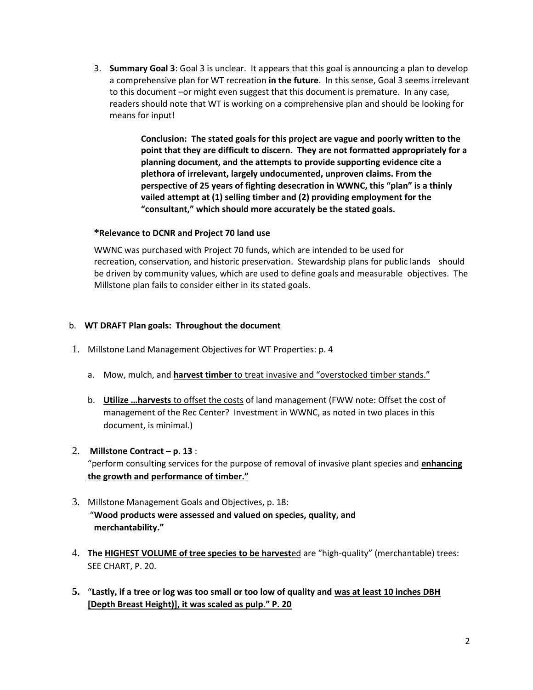3. **Summary Goal 3**: Goal 3 is unclear. It appears that this goal is announcing a plan to develop a comprehensive plan for WT recreation **in the future**. In this sense, Goal 3 seems irrelevant to this document –or might even suggest that this document is premature. In any case, readers should note that WT is working on a comprehensive plan and should be looking for means for input!

> **Conclusion: The stated goals for this project are vague and poorly written to the point that they are difficult to discern. They are not formatted appropriately for a planning document, and the attempts to provide supporting evidence cite a plethora of irrelevant, largely undocumented, unproven claims. From the perspective of 25 years of fighting desecration in WWNC, this "plan" is a thinly vailed attempt at (1) selling timber and (2) providing employment for the "consultant," which should more accurately be the stated goals.**

# **\*Relevance to DCNR and Project 70 land use**

WWNC was purchased with Project 70 funds, which are intended to be used for recreation, conservation, and historic preservation. Stewardship plans for public lands should be driven by community values, which are used to define goals and measurable objectives. The Millstone plan fails to consider either in its stated goals.

# b. **WT DRAFT Plan goals: Throughout the document**

- 1. Millstone Land Management Objectives for WT Properties: p. 4
	- a. Mow, mulch, and **harvest timber** to treat invasive and "overstocked timber stands."
	- b. **Utilize …harvests** to offset the costs of land management (FWW note: Offset the cost of management of the Rec Center? Investment in WWNC, as noted in two places in this document, is minimal.)
- 2. **Millstone Contract p. 13** :

"perform consulting services for the purpose of removal of invasive plant species and **enhancing the growth and performance of timber."**

- 3. Millstone Management Goals and Objectives, p. 18: "**Wood products were assessed and valued on species, quality, and merchantability."**
- 4. **The HIGHEST VOLUME of tree species to be harvest**ed are "high-quality" (merchantable) trees: SEE CHART, P. 20.
- **5.** "**Lastly, if a tree or log was too small or too low of quality and was at least 10 inches DBH [Depth Breast Height)], it was scaled as pulp." P. 20**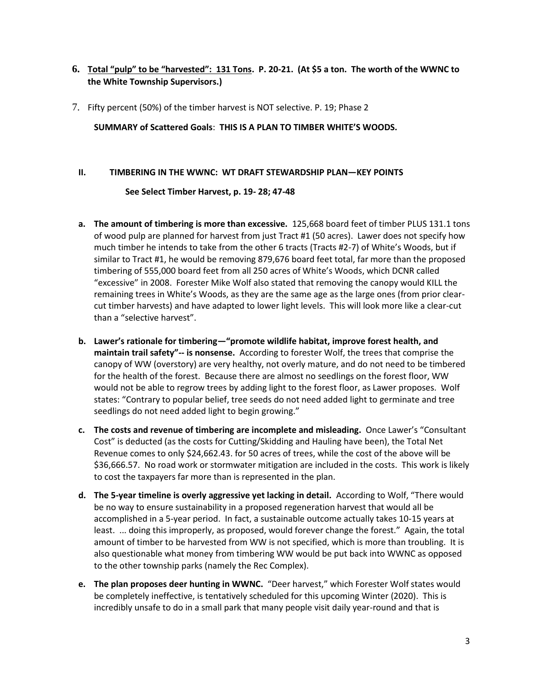# **6. Total "pulp" to be "harvested": 131 Tons. P. 20-21. (At \$5 a ton. The worth of the WWNC to the White Township Supervisors.)**

7. Fifty percent (50%) of the timber harvest is NOT selective. P. 19; Phase 2

**SUMMARY of Scattered Goals**: **THIS IS A PLAN TO TIMBER WHITE'S WOODS.**

#### **II. TIMBERING IN THE WWNC: WT DRAFT STEWARDSHIP PLAN—KEY POINTS**

# **See Select Timber Harvest, p. 19- 28; 47-48**

- **a. The amount of timbering is more than excessive.** 125,668 board feet of timber PLUS 131.1 tons of wood pulp are planned for harvest from just Tract #1 (50 acres). Lawer does not specify how much timber he intends to take from the other 6 tracts (Tracts #2-7) of White's Woods, but if similar to Tract #1, he would be removing 879,676 board feet total, far more than the proposed timbering of 555,000 board feet from all 250 acres of White's Woods, which DCNR called "excessive" in 2008. Forester Mike Wolf also stated that removing the canopy would KILL the remaining trees in White's Woods, as they are the same age as the large ones (from prior clearcut timber harvests) and have adapted to lower light levels. This will look more like a clear-cut than a "selective harvest".
- **b. Lawer's rationale for timbering—"promote wildlife habitat, improve forest health, and maintain trail safety"-- is nonsense.** According to forester Wolf, the trees that comprise the canopy of WW (overstory) are very healthy, not overly mature, and do not need to be timbered for the health of the forest. Because there are almost no seedlings on the forest floor, WW would not be able to regrow trees by adding light to the forest floor, as Lawer proposes. Wolf states: "Contrary to popular belief, tree seeds do not need added light to germinate and tree seedlings do not need added light to begin growing."
- **c. The costs and revenue of timbering are incomplete and misleading.** Once Lawer's "Consultant Cost" is deducted (as the costs for Cutting/Skidding and Hauling have been), the Total Net Revenue comes to only \$24,662.43. for 50 acres of trees, while the cost of the above will be \$36,666.57. No road work or stormwater mitigation are included in the costs. This work is likely to cost the taxpayers far more than is represented in the plan.
- **d. The 5-year timeline is overly aggressive yet lacking in detail.** According to Wolf, "There would be no way to ensure sustainability in a proposed regeneration harvest that would all be accomplished in a 5-year period. In fact, a sustainable outcome actually takes 10-15 years at least. ... doing this improperly, as proposed, would forever change the forest." Again, the total amount of timber to be harvested from WW is not specified, which is more than troubling. It is also questionable what money from timbering WW would be put back into WWNC as opposed to the other township parks (namely the Rec Complex).
- **e. The plan proposes deer hunting in WWNC.** "Deer harvest," which Forester Wolf states would be completely ineffective, is tentatively scheduled for this upcoming Winter (2020). This is incredibly unsafe to do in a small park that many people visit daily year-round and that is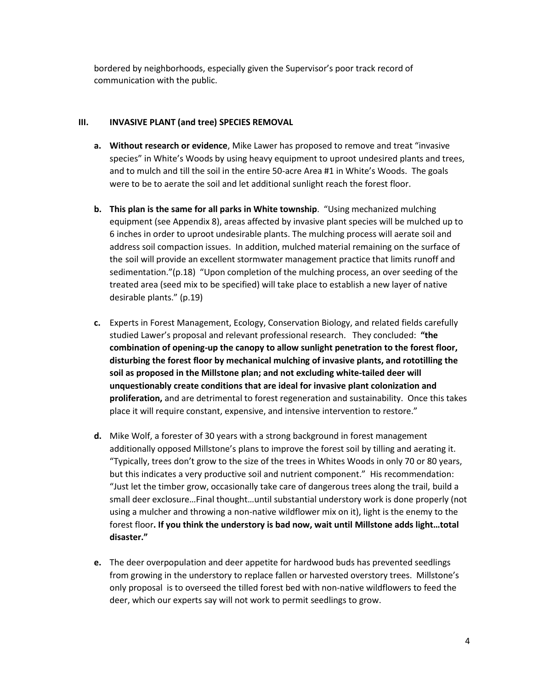bordered by neighborhoods, especially given the Supervisor's poor track record of communication with the public.

# **III. INVASIVE PLANT (and tree) SPECIES REMOVAL**

- **a. Without research or evidence**, Mike Lawer has proposed to remove and treat "invasive species" in White's Woods by using heavy equipment to uproot undesired plants and trees, and to mulch and till the soil in the entire 50-acre Area #1 in White's Woods. The goals were to be to aerate the soil and let additional sunlight reach the forest floor.
- **b. This plan is the same for all parks in White township**. "Using mechanized mulching equipment (see Appendix 8), areas affected by invasive plant species will be mulched up to 6 inches in order to uproot undesirable plants. The mulching process will aerate soil and address soil compaction issues. In addition, mulched material remaining on the surface of the soil will provide an excellent stormwater management practice that limits runoff and sedimentation."(p.18) "Upon completion of the mulching process, an over seeding of the treated area (seed mix to be specified) will take place to establish a new layer of native desirable plants." (p.19)
- **c.** Experts in Forest Management, Ecology, Conservation Biology, and related fields carefully studied Lawer's proposal and relevant professional research. They concluded: **"the combination of opening-up the canopy to allow sunlight penetration to the forest floor, disturbing the forest floor by mechanical mulching of invasive plants, and rototilling the soil as proposed in the Millstone plan; and not excluding white-tailed deer will unquestionably create conditions that are ideal for invasive plant colonization and proliferation,** and are detrimental to forest regeneration and sustainability. Once this takes place it will require constant, expensive, and intensive intervention to restore."
- **d.** Mike Wolf, a forester of 30 years with a strong background in forest management additionally opposed Millstone's plans to improve the forest soil by tilling and aerating it. "Typically, trees don't grow to the size of the trees in Whites Woods in only 70 or 80 years, but this indicates a very productive soil and nutrient component." His recommendation: "Just let the timber grow, occasionally take care of dangerous trees along the trail, build a small deer exclosure…Final thought…until substantial understory work is done properly (not using a mulcher and throwing a non-native wildflower mix on it), light is the enemy to the forest floor**. If you think the understory is bad now, wait until Millstone adds light…total disaster."**
- **e.** The deer overpopulation and deer appetite for hardwood buds has prevented seedlings from growing in the understory to replace fallen or harvested overstory trees. Millstone's only proposal is to overseed the tilled forest bed with non-native wildflowers to feed the deer, which our experts say will not work to permit seedlings to grow.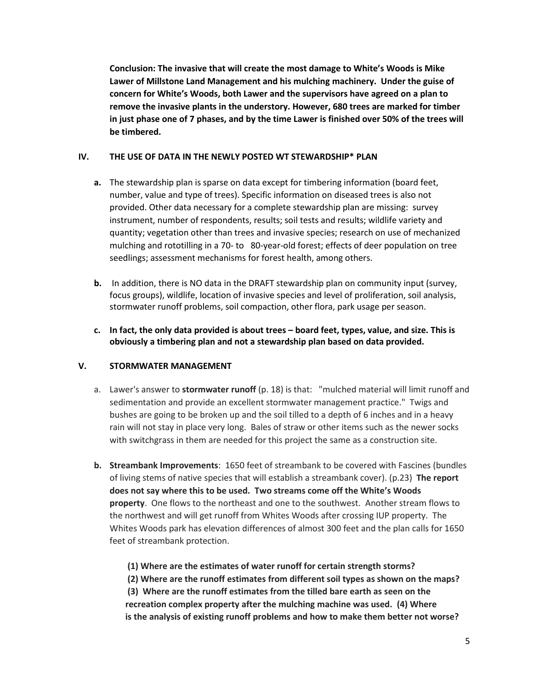**Conclusion: The invasive that will create the most damage to White's Woods is Mike Lawer of Millstone Land Management and his mulching machinery. Under the guise of concern for White's Woods, both Lawer and the supervisors have agreed on a plan to remove the invasive plants in the understory. However, 680 trees are marked for timber in just phase one of 7 phases, and by the time Lawer is finished over 50% of the trees will be timbered.** 

# **IV. THE USE OF DATA IN THE NEWLY POSTED WT STEWARDSHIP\* PLAN**

- **a.** The stewardship plan is sparse on data except for timbering information (board feet, number, value and type of trees). Specific information on diseased trees is also not provided. Other data necessary for a complete stewardship plan are missing: survey instrument, number of respondents, results; soil tests and results; wildlife variety and quantity; vegetation other than trees and invasive species; research on use of mechanized mulching and rototilling in a 70- to 80-year-old forest; effects of deer population on tree seedlings; assessment mechanisms for forest health, among others.
- **b.** In addition, there is NO data in the DRAFT stewardship plan on community input (survey, focus groups), wildlife, location of invasive species and level of proliferation, soil analysis, stormwater runoff problems, soil compaction, other flora, park usage per season.
- **c. In fact, the only data provided is about trees – board feet, types, value, and size. This is obviously a timbering plan and not a stewardship plan based on data provided.**

# **V. STORMWATER MANAGEMENT**

- a. Lawer's answer to **stormwater runoff** (p. 18) is that: "mulched material will limit runoff and sedimentation and provide an excellent stormwater management practice." Twigs and bushes are going to be broken up and the soil tilled to a depth of 6 inches and in a heavy rain will not stay in place very long. Bales of straw or other items such as the newer socks with switchgrass in them are needed for this project the same as a construction site.
- **b. Streambank Improvements**: 1650 feet of streambank to be covered with Fascines (bundles of living stems of native species that will establish a streambank cover). (p.23) **The report does not say where this to be used. Two streams come off the White's Woods property**. One flows to the northeast and one to the southwest. Another stream flows to the northwest and will get runoff from Whites Woods after crossing IUP property. The Whites Woods park has elevation differences of almost 300 feet and the plan calls for 1650 feet of streambank protection.

**(1) Where are the estimates of water runoff for certain strength storms?**

**(2) Where are the runoff estimates from different soil types as shown on the maps? (3) Where are the runoff estimates from the tilled bare earth as seen on the recreation complex property after the mulching machine was used. (4) Where is the analysis of existing runoff problems and how to make them better not worse?**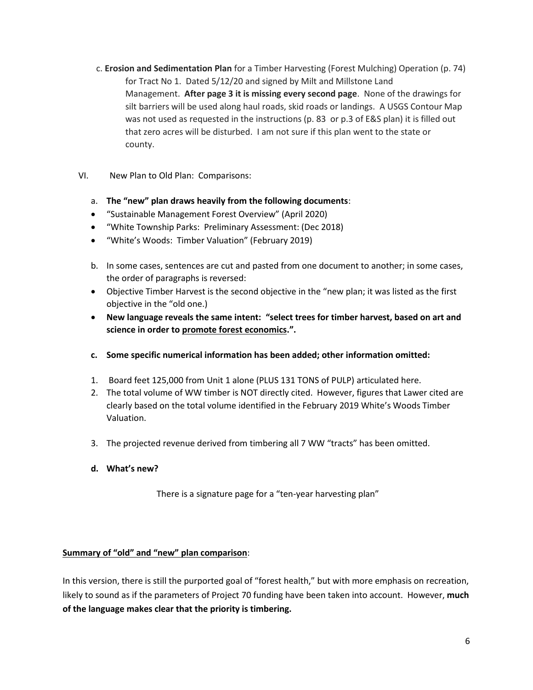- c. **Erosion and Sedimentation Plan** for a Timber Harvesting (Forest Mulching) Operation (p. 74) for Tract No 1. Dated 5/12/20 and signed by Milt and Millstone Land Management. **After page 3 it is missing every second page**. None of the drawings for silt barriers will be used along haul roads, skid roads or landings. A USGS Contour Map was not used as requested in the instructions (p. 83 or p.3 of E&S plan) it is filled out that zero acres will be disturbed. I am not sure if this plan went to the state or county.
- VI. New Plan to Old Plan: Comparisons:
	- a. **The "new" plan draws heavily from the following documents**:
	- "Sustainable Management Forest Overview" (April 2020)
	- "White Township Parks: Preliminary Assessment: (Dec 2018)
	- "White's Woods: Timber Valuation" (February 2019)
	- b. In some cases, sentences are cut and pasted from one document to another; in some cases, the order of paragraphs is reversed:
	- Objective Timber Harvest is the second objective in the "new plan; it was listed as the first objective in the "old one.)
	- **New language reveals the same intent: "select trees for timber harvest, based on art and science in order to promote forest economics.".**
	- **c. Some specific numerical information has been added; other information omitted:**
	- 1. Board feet 125,000 from Unit 1 alone (PLUS 131 TONS of PULP) articulated here.
	- 2. The total volume of WW timber is NOT directly cited. However, figures that Lawer cited are clearly based on the total volume identified in the February 2019 White's Woods Timber Valuation.
	- 3. The projected revenue derived from timbering all 7 WW "tracts" has been omitted.
	- **d. What's new?**

There is a signature page for a "ten-year harvesting plan"

# **Summary of "old" and "new" plan comparison**:

In this version, there is still the purported goal of "forest health," but with more emphasis on recreation, likely to sound as if the parameters of Project 70 funding have been taken into account. However, **much of the language makes clear that the priority is timbering.**